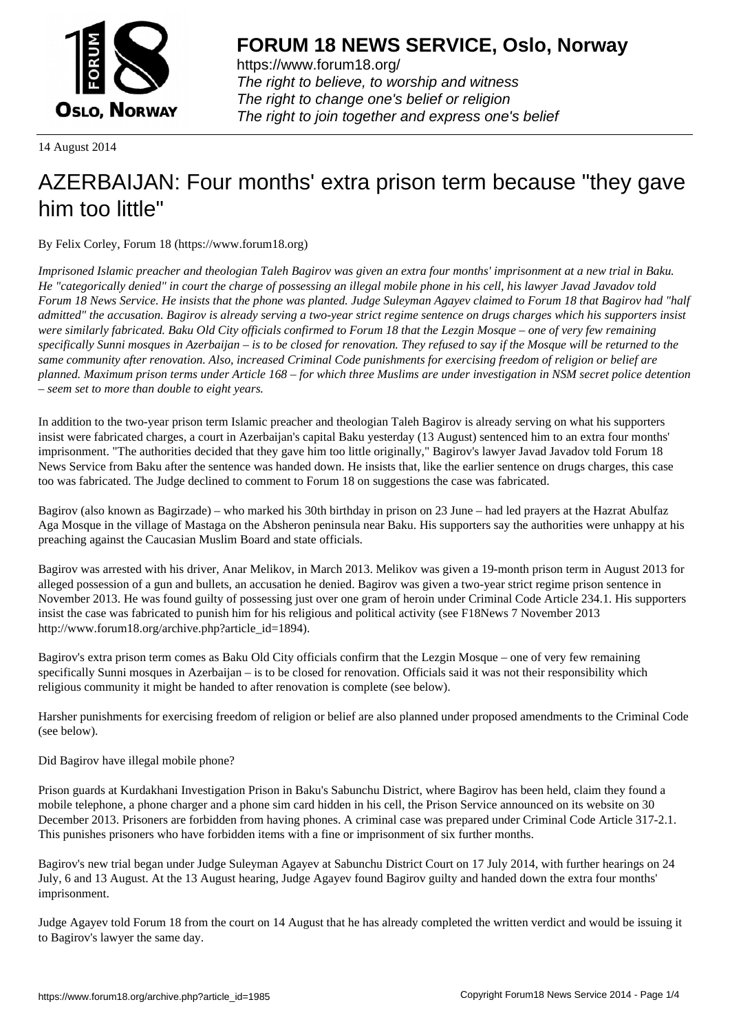

https://www.forum18.org/ The right to believe, to worship and witness The right to change one's belief or religion [The right to join together a](https://www.forum18.org/)nd express one's belief

14 August 2014

## [AZERBAIJAN: F](https://www.forum18.org)our months' extra prison term because "they gave him too little"

By Felix Corley, Forum 18 (https://www.forum18.org)

*Imprisoned Islamic preacher and theologian Taleh Bagirov was given an extra four months' imprisonment at a new trial in Baku. He "categorically denied" in court the charge of possessing an illegal mobile phone in his cell, his lawyer Javad Javadov told Forum 18 News Service. He insists that the phone was planted. Judge Suleyman Agayev claimed to Forum 18 that Bagirov had "half admitted" the accusation. Bagirov is already serving a two-year strict regime sentence on drugs charges which his supporters insist were similarly fabricated. Baku Old City officials confirmed to Forum 18 that the Lezgin Mosque – one of very few remaining specifically Sunni mosques in Azerbaijan – is to be closed for renovation. They refused to say if the Mosque will be returned to the same community after renovation. Also, increased Criminal Code punishments for exercising freedom of religion or belief are planned. Maximum prison terms under Article 168 – for which three Muslims are under investigation in NSM secret police detention – seem set to more than double to eight years.*

In addition to the two-year prison term Islamic preacher and theologian Taleh Bagirov is already serving on what his supporters insist were fabricated charges, a court in Azerbaijan's capital Baku yesterday (13 August) sentenced him to an extra four months' imprisonment. "The authorities decided that they gave him too little originally," Bagirov's lawyer Javad Javadov told Forum 18 News Service from Baku after the sentence was handed down. He insists that, like the earlier sentence on drugs charges, this case too was fabricated. The Judge declined to comment to Forum 18 on suggestions the case was fabricated.

Bagirov (also known as Bagirzade) – who marked his 30th birthday in prison on 23 June – had led prayers at the Hazrat Abulfaz Aga Mosque in the village of Mastaga on the Absheron peninsula near Baku. His supporters say the authorities were unhappy at his preaching against the Caucasian Muslim Board and state officials.

Bagirov was arrested with his driver, Anar Melikov, in March 2013. Melikov was given a 19-month prison term in August 2013 for alleged possession of a gun and bullets, an accusation he denied. Bagirov was given a two-year strict regime prison sentence in November 2013. He was found guilty of possessing just over one gram of heroin under Criminal Code Article 234.1. His supporters insist the case was fabricated to punish him for his religious and political activity (see F18News 7 November 2013 http://www.forum18.org/archive.php?article\_id=1894).

Bagirov's extra prison term comes as Baku Old City officials confirm that the Lezgin Mosque – one of very few remaining specifically Sunni mosques in Azerbaijan – is to be closed for renovation. Officials said it was not their responsibility which religious community it might be handed to after renovation is complete (see below).

Harsher punishments for exercising freedom of religion or belief are also planned under proposed amendments to the Criminal Code (see below).

Did Bagirov have illegal mobile phone?

Prison guards at Kurdakhani Investigation Prison in Baku's Sabunchu District, where Bagirov has been held, claim they found a mobile telephone, a phone charger and a phone sim card hidden in his cell, the Prison Service announced on its website on 30 December 2013. Prisoners are forbidden from having phones. A criminal case was prepared under Criminal Code Article 317-2.1. This punishes prisoners who have forbidden items with a fine or imprisonment of six further months.

Bagirov's new trial began under Judge Suleyman Agayev at Sabunchu District Court on 17 July 2014, with further hearings on 24 July, 6 and 13 August. At the 13 August hearing, Judge Agayev found Bagirov guilty and handed down the extra four months' imprisonment.

Judge Agayev told Forum 18 from the court on 14 August that he has already completed the written verdict and would be issuing it to Bagirov's lawyer the same day.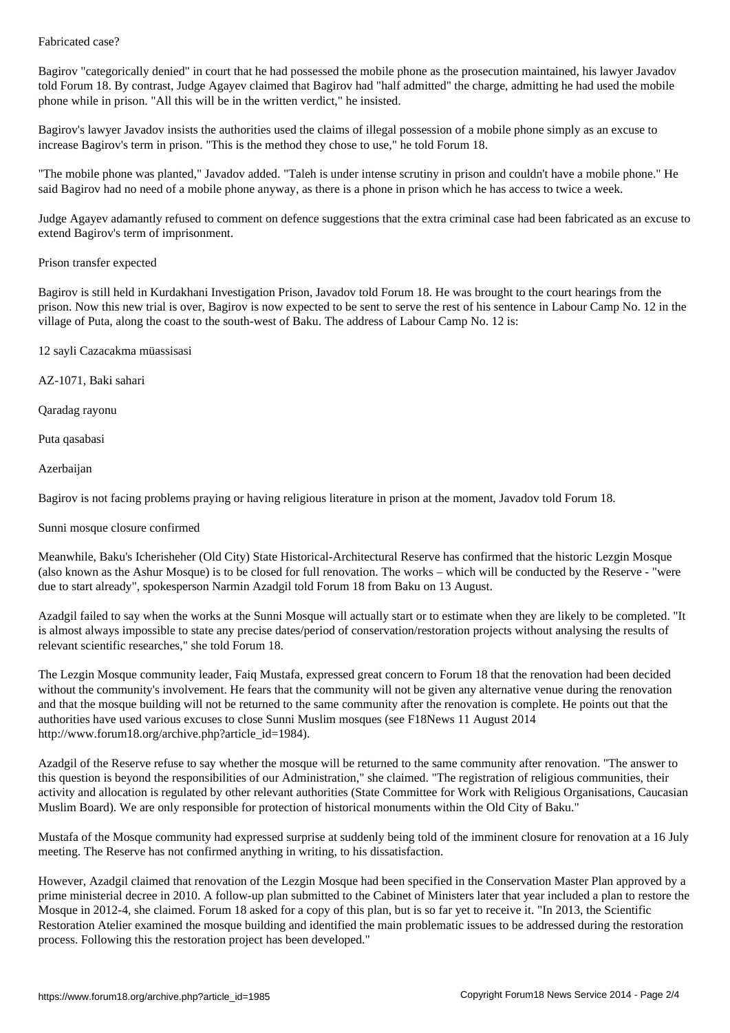Bagirov "categorically denied" in court that he had possessed the mobile phone as the prosecution maintained, his lawyer Javadov told Forum 18. By contrast, Judge Agayev claimed that Bagirov had "half admitted" the charge, admitting he had used the mobile phone while in prison. "All this will be in the written verdict," he insisted.

Bagirov's lawyer Javadov insists the authorities used the claims of illegal possession of a mobile phone simply as an excuse to increase Bagirov's term in prison. "This is the method they chose to use," he told Forum 18.

"The mobile phone was planted," Javadov added. "Taleh is under intense scrutiny in prison and couldn't have a mobile phone." He said Bagirov had no need of a mobile phone anyway, as there is a phone in prison which he has access to twice a week.

Judge Agayev adamantly refused to comment on defence suggestions that the extra criminal case had been fabricated as an excuse to extend Bagirov's term of imprisonment.

## Prison transfer expected

Bagirov is still held in Kurdakhani Investigation Prison, Javadov told Forum 18. He was brought to the court hearings from the prison. Now this new trial is over, Bagirov is now expected to be sent to serve the rest of his sentence in Labour Camp No. 12 in the village of Puta, along the coast to the south-west of Baku. The address of Labour Camp No. 12 is:

12 sayli Cazacakma müassisasi

AZ-1071, Baki sahari

Qaradag rayonu

Puta qasabasi

Azerbaijan

Bagirov is not facing problems praying or having religious literature in prison at the moment, Javadov told Forum 18.

## Sunni mosque closure confirmed

Meanwhile, Baku's Icherisheher (Old City) State Historical-Architectural Reserve has confirmed that the historic Lezgin Mosque (also known as the Ashur Mosque) is to be closed for full renovation. The works – which will be conducted by the Reserve - "were due to start already", spokesperson Narmin Azadgil told Forum 18 from Baku on 13 August.

Azadgil failed to say when the works at the Sunni Mosque will actually start or to estimate when they are likely to be completed. "It is almost always impossible to state any precise dates/period of conservation/restoration projects without analysing the results of relevant scientific researches," she told Forum 18.

The Lezgin Mosque community leader, Faiq Mustafa, expressed great concern to Forum 18 that the renovation had been decided without the community's involvement. He fears that the community will not be given any alternative venue during the renovation and that the mosque building will not be returned to the same community after the renovation is complete. He points out that the authorities have used various excuses to close Sunni Muslim mosques (see F18News 11 August 2014 http://www.forum18.org/archive.php?article\_id=1984).

Azadgil of the Reserve refuse to say whether the mosque will be returned to the same community after renovation. "The answer to this question is beyond the responsibilities of our Administration," she claimed. "The registration of religious communities, their activity and allocation is regulated by other relevant authorities (State Committee for Work with Religious Organisations, Caucasian Muslim Board). We are only responsible for protection of historical monuments within the Old City of Baku."

Mustafa of the Mosque community had expressed surprise at suddenly being told of the imminent closure for renovation at a 16 July meeting. The Reserve has not confirmed anything in writing, to his dissatisfaction.

However, Azadgil claimed that renovation of the Lezgin Mosque had been specified in the Conservation Master Plan approved by a prime ministerial decree in 2010. A follow-up plan submitted to the Cabinet of Ministers later that year included a plan to restore the Mosque in 2012-4, she claimed. Forum 18 asked for a copy of this plan, but is so far yet to receive it. "In 2013, the Scientific Restoration Atelier examined the mosque building and identified the main problematic issues to be addressed during the restoration process. Following this the restoration project has been developed."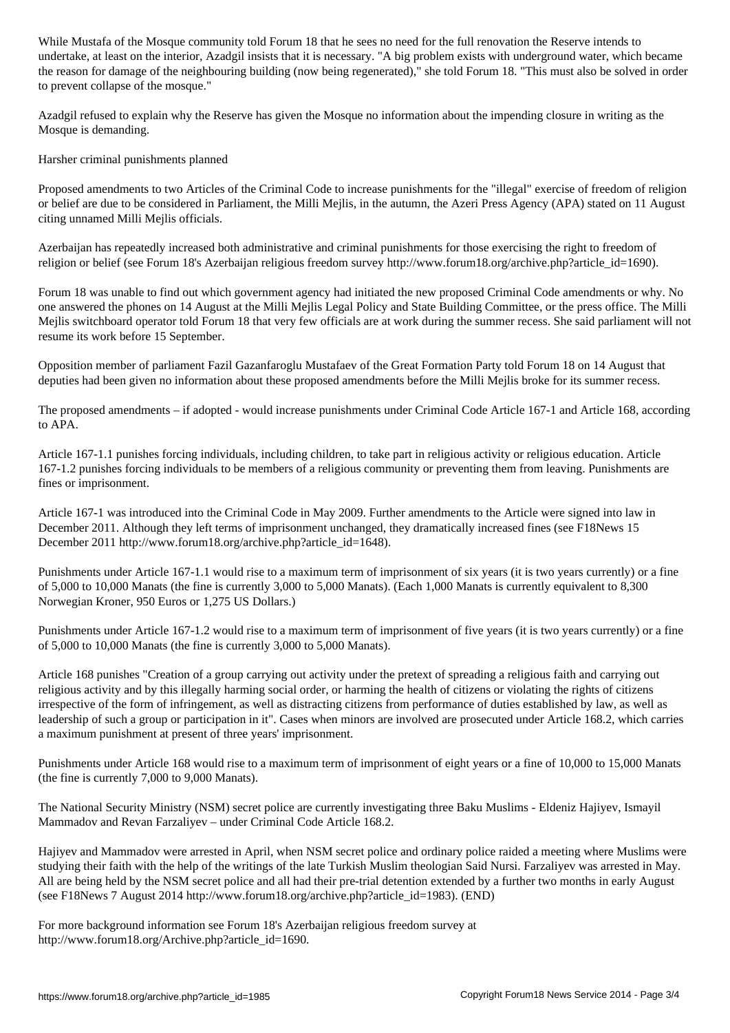, at least on the interior, Azadagil institute that it is necessary. A big problem exists with underground water, which became  $\mu$ the reason for damage of the neighbouring building (now being regenerated)," she told Forum 18. "This must also be solved in order to prevent collapse of the mosque."

Azadgil refused to explain why the Reserve has given the Mosque no information about the impending closure in writing as the Mosque is demanding.

Harsher criminal punishments planned

Proposed amendments to two Articles of the Criminal Code to increase punishments for the "illegal" exercise of freedom of religion or belief are due to be considered in Parliament, the Milli Mejlis, in the autumn, the Azeri Press Agency (APA) stated on 11 August citing unnamed Milli Mejlis officials.

Azerbaijan has repeatedly increased both administrative and criminal punishments for those exercising the right to freedom of religion or belief (see Forum 18's Azerbaijan religious freedom survey http://www.forum18.org/archive.php?article\_id=1690).

Forum 18 was unable to find out which government agency had initiated the new proposed Criminal Code amendments or why. No one answered the phones on 14 August at the Milli Mejlis Legal Policy and State Building Committee, or the press office. The Milli Mejlis switchboard operator told Forum 18 that very few officials are at work during the summer recess. She said parliament will not resume its work before 15 September.

Opposition member of parliament Fazil Gazanfaroglu Mustafaev of the Great Formation Party told Forum 18 on 14 August that deputies had been given no information about these proposed amendments before the Milli Mejlis broke for its summer recess.

The proposed amendments – if adopted - would increase punishments under Criminal Code Article 167-1 and Article 168, according to APA.

Article 167-1.1 punishes forcing individuals, including children, to take part in religious activity or religious education. Article 167-1.2 punishes forcing individuals to be members of a religious community or preventing them from leaving. Punishments are fines or imprisonment.

Article 167-1 was introduced into the Criminal Code in May 2009. Further amendments to the Article were signed into law in December 2011. Although they left terms of imprisonment unchanged, they dramatically increased fines (see F18News 15 December 2011 http://www.forum18.org/archive.php?article\_id=1648).

Punishments under Article 167-1.1 would rise to a maximum term of imprisonment of six years (it is two years currently) or a fine of 5,000 to 10,000 Manats (the fine is currently 3,000 to 5,000 Manats). (Each 1,000 Manats is currently equivalent to 8,300 Norwegian Kroner, 950 Euros or 1,275 US Dollars.)

Punishments under Article 167-1.2 would rise to a maximum term of imprisonment of five years (it is two years currently) or a fine of 5,000 to 10,000 Manats (the fine is currently 3,000 to 5,000 Manats).

Article 168 punishes "Creation of a group carrying out activity under the pretext of spreading a religious faith and carrying out religious activity and by this illegally harming social order, or harming the health of citizens or violating the rights of citizens irrespective of the form of infringement, as well as distracting citizens from performance of duties established by law, as well as leadership of such a group or participation in it". Cases when minors are involved are prosecuted under Article 168.2, which carries a maximum punishment at present of three years' imprisonment.

Punishments under Article 168 would rise to a maximum term of imprisonment of eight years or a fine of 10,000 to 15,000 Manats (the fine is currently 7,000 to 9,000 Manats).

The National Security Ministry (NSM) secret police are currently investigating three Baku Muslims - Eldeniz Hajiyev, Ismayil Mammadov and Revan Farzaliyev – under Criminal Code Article 168.2.

Hajiyev and Mammadov were arrested in April, when NSM secret police and ordinary police raided a meeting where Muslims were studying their faith with the help of the writings of the late Turkish Muslim theologian Said Nursi. Farzaliyev was arrested in May. All are being held by the NSM secret police and all had their pre-trial detention extended by a further two months in early August (see F18News 7 August 2014 http://www.forum18.org/archive.php?article\_id=1983). (END)

For more background information see Forum 18's Azerbaijan religious freedom survey at http://www.forum18.org/Archive.php?article\_id=1690.